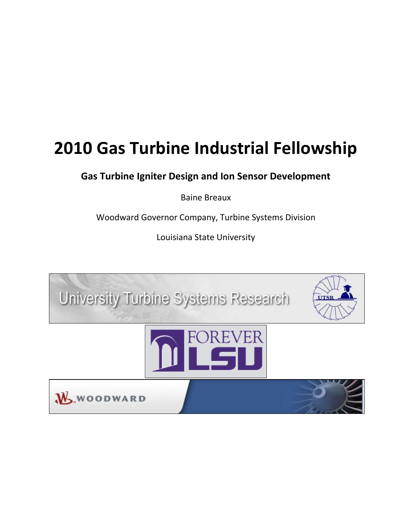# **2010 Gas Turbine Industrial Fellowship**

**Gas Turbine Igniter Design and Ion Sensor Development**

Baine Breaux

Woodward Governor Company, Turbine Systems Division

Louisiana State University

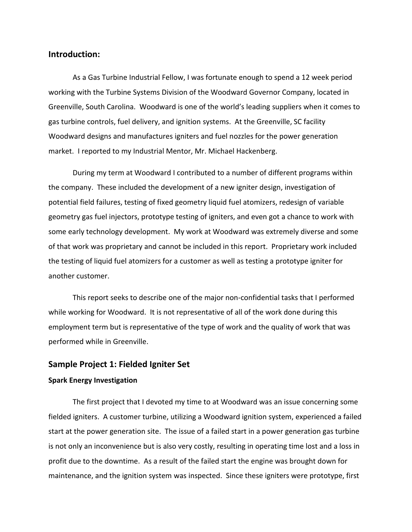### **Introduction:**

As a Gas Turbine Industrial Fellow, I was fortunate enough to spend a 12 week period working with the Turbine Systems Division of the Woodward Governor Company, located in Greenville, South Carolina. Woodward is one of the world's leading suppliers when it comes to gas turbine controls, fuel delivery, and ignition systems. At the Greenville, SC facility Woodward designs and manufactures igniters and fuel nozzles for the power generation market. I reported to my Industrial Mentor, Mr. Michael Hackenberg.

During my term at Woodward I contributed to a number of different programs within the company. These included the development of a new igniter design, investigation of potential field failures, testing of fixed geometry liquid fuel atomizers, redesign of variable geometry gas fuel injectors, prototype testing of igniters, and even got a chance to work with some early technology development. My work at Woodward was extremely diverse and some of that work was proprietary and cannot be included in this report. Proprietary work included the testing of liquid fuel atomizers for a customer as well as testing a prototype igniter for another customer.

This report seeks to describe one of the major non-confidential tasks that I performed while working for Woodward. It is not representative of all of the work done during this employment term but is representative of the type of work and the quality of work that was performed while in Greenville.

#### **Sample Project 1: Fielded Igniter Set**

#### **Spark Energy Investigation**

The first project that I devoted my time to at Woodward was an issue concerning some fielded igniters. A customer turbine, utilizing a Woodward ignition system, experienced a failed start at the power generation site. The issue of a failed start in a power generation gas turbine is not only an inconvenience but is also very costly, resulting in operating time lost and a loss in profit due to the downtime. As a result of the failed start the engine was brought down for maintenance, and the ignition system was inspected. Since these igniters were prototype, first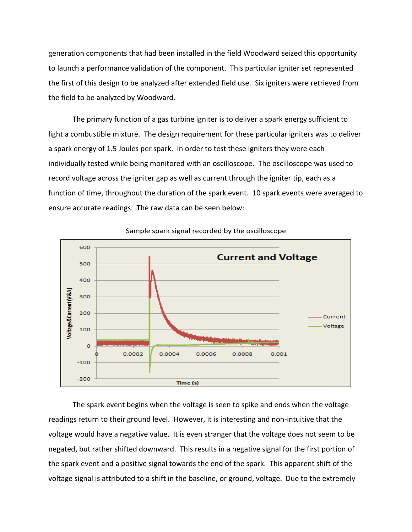generation components that had been installed in the field Woodward seized this opportunity to launch a performance validation of the component. This particular igniter set represented the first of this design to be analyzed after extended field use. Six igniters were retrieved from the field to be analyzed by Woodward.

The primary function of a gas turbine igniter is to deliver a spark energy sufficient to light a combustible mixture. The design requirement for these particular igniters was to deliver a spark energy of 1.5 Joules per spark. In order to test these igniters they were each individually tested while being monitored with an oscilloscope. The oscilloscope was used to record voltage across the igniter gap as well as current through the igniter tip, each as a function of time, throughout the duration of the spark event. 10 spark events were averaged to ensure accurate readings. The raw data can be seen below:



Sample spark signal recorded by the oscilloscope

The spark event begins when the voltage is seen to spike and ends when the voltage readings return to their ground level. However, it is interesting and non-intuitive that the voltage would have a negative value. It is even stranger that the voltage does not seem to be negated, but rather shifted downward. This results in a negative signal for the first portion of the spark event and a positive signal towards the end of the spark. This apparent shift of the voltage signal is attributed to a shift in the baseline, or ground, voltage. Due to the extremely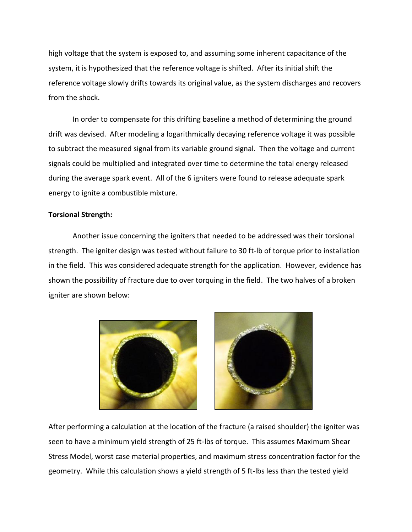high voltage that the system is exposed to, and assuming some inherent capacitance of the system, it is hypothesized that the reference voltage is shifted. After its initial shift the reference voltage slowly drifts towards its original value, as the system discharges and recovers from the shock.

In order to compensate for this drifting baseline a method of determining the ground drift was devised. After modeling a logarithmically decaying reference voltage it was possible to subtract the measured signal from its variable ground signal. Then the voltage and current signals could be multiplied and integrated over time to determine the total energy released during the average spark event. All of the 6 igniters were found to release adequate spark energy to ignite a combustible mixture.

#### **Torsional Strength:**

Another issue concerning the igniters that needed to be addressed was their torsional strength. The igniter design was tested without failure to 30 ft-lb of torque prior to installation in the field. This was considered adequate strength for the application. However, evidence has shown the possibility of fracture due to over torquing in the field. The two halves of a broken igniter are shown below:





After performing a calculation at the location of the fracture (a raised shoulder) the igniter was seen to have a minimum yield strength of 25 ft-lbs of torque. This assumes Maximum Shear Stress Model, worst case material properties, and maximum stress concentration factor for the geometry. While this calculation shows a yield strength of 5 ft-lbs less than the tested yield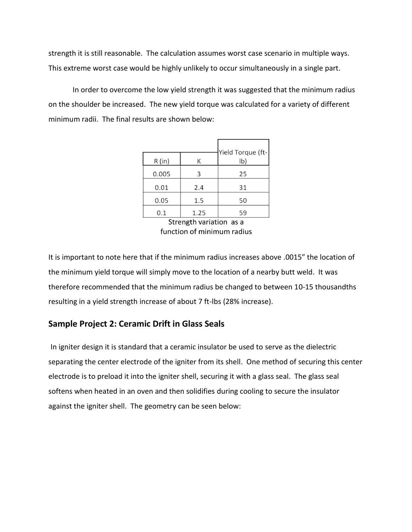strength it is still reasonable. The calculation assumes worst case scenario in multiple ways. This extreme worst case would be highly unlikely to occur simultaneously in a single part.

In order to overcome the low yield strength it was suggested that the minimum radius on the shoulder be increased. The new yield torque was calculated for a variety of different minimum radii. The final results are shown below:

|       |      | Yield Torque (ft- |
|-------|------|-------------------|
| R(in) | К    | $\mathsf{lb}$     |
| 0.005 | 3    | 25                |
| 0.01  | 2.4  | 31                |
| 0.05  | 1.5  | 50                |
| 0.1   | 1.25 | 59                |

Strength variation as a function of minimum radius

It is important to note here that if the minimum radius increases above .0015" the location of the minimum yield torque will simply move to the location of a nearby butt weld. It was therefore recommended that the minimum radius be changed to between 10-15 thousandths resulting in a yield strength increase of about 7 ft-lbs (28% increase).

## **Sample Project 2: Ceramic Drift in Glass Seals**

In igniter design it is standard that a ceramic insulator be used to serve as the dielectric separating the center electrode of the igniter from its shell. One method of securing this center electrode is to preload it into the igniter shell, securing it with a glass seal. The glass seal softens when heated in an oven and then solidifies during cooling to secure the insulator against the igniter shell. The geometry can be seen below: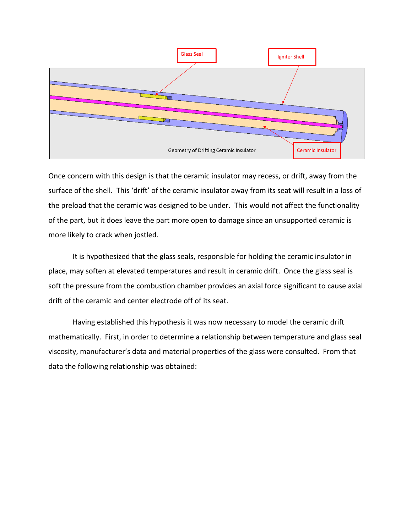

Once concern with this design is that the ceramic insulator may recess, or drift, away from the surface of the shell. This 'drift' of the ceramic insulator away from its seat will result in a loss of the preload that the ceramic was designed to be under. This would not affect the functionality of the part, but it does leave the part more open to damage since an unsupported ceramic is more likely to crack when jostled.

It is hypothesized that the glass seals, responsible for holding the ceramic insulator in place, may soften at elevated temperatures and result in ceramic drift. Once the glass seal is soft the pressure from the combustion chamber provides an axial force significant to cause axial drift of the ceramic and center electrode off of its seat.

Having established this hypothesis it was now necessary to model the ceramic drift mathematically. First, in order to determine a relationship between temperature and glass seal viscosity, manufacturer's data and material properties of the glass were consulted. From that data the following relationship was obtained: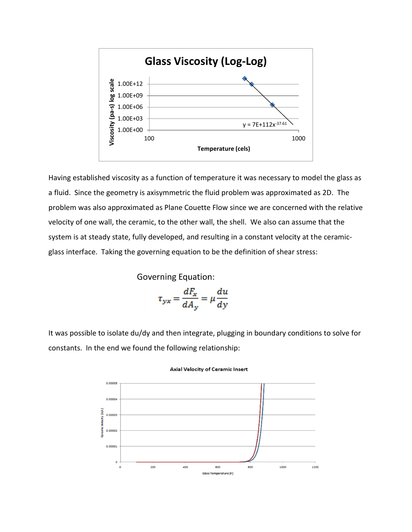

Having established viscosity as a function of temperature it was necessary to model the glass as a fluid. Since the geometry is axisymmetric the fluid problem was approximated as 2D. The problem was also approximated as Plane Couette Flow since we are concerned with the relative velocity of one wall, the ceramic, to the other wall, the shell. We also can assume that the system is at steady state, fully developed, and resulting in a constant velocity at the ceramicglass interface. Taking the governing equation to be the definition of shear stress:

**Governing Equation:** 

$$
\tau_{yx} = \frac{dF_x}{dA_y} = \mu \frac{du}{dy}
$$

It was possible to isolate du/dy and then integrate, plugging in boundary conditions to solve for constants. In the end we found the following relationship:



#### **Axial Velocity of Ceramic Insert**